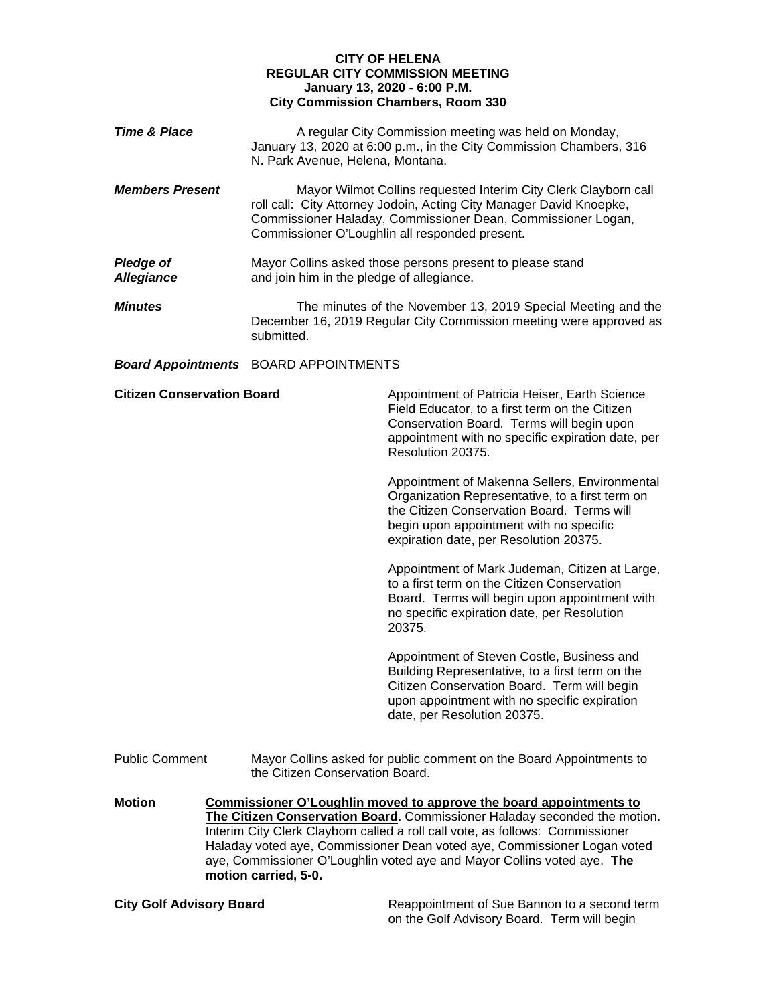## **CITY OF HELENA REGULAR CITY COMMISSION MEETING January 13, 2020 - 6:00 P.M. City Commission Chambers, Room 330**

| <b>Time &amp; Place</b>               | N. Park Avenue, Helena, Montana.             | A regular City Commission meeting was held on Monday,<br>January 13, 2020 at 6:00 p.m., in the City Commission Chambers, 316                                                                                                                                                                                                                                                                                                                                                                                                                                                                                                                                                                                                                                                                                                                                                                            |
|---------------------------------------|----------------------------------------------|---------------------------------------------------------------------------------------------------------------------------------------------------------------------------------------------------------------------------------------------------------------------------------------------------------------------------------------------------------------------------------------------------------------------------------------------------------------------------------------------------------------------------------------------------------------------------------------------------------------------------------------------------------------------------------------------------------------------------------------------------------------------------------------------------------------------------------------------------------------------------------------------------------|
| <b>Members Present</b>                |                                              | Mayor Wilmot Collins requested Interim City Clerk Clayborn call<br>roll call: City Attorney Jodoin, Acting City Manager David Knoepke,<br>Commissioner Haladay, Commissioner Dean, Commissioner Logan,<br>Commissioner O'Loughlin all responded present.                                                                                                                                                                                                                                                                                                                                                                                                                                                                                                                                                                                                                                                |
| <b>Pledge of</b><br><b>Allegiance</b> | and join him in the pledge of allegiance.    | Mayor Collins asked those persons present to please stand                                                                                                                                                                                                                                                                                                                                                                                                                                                                                                                                                                                                                                                                                                                                                                                                                                               |
| <b>Minutes</b>                        | submitted.                                   | The minutes of the November 13, 2019 Special Meeting and the<br>December 16, 2019 Regular City Commission meeting were approved as                                                                                                                                                                                                                                                                                                                                                                                                                                                                                                                                                                                                                                                                                                                                                                      |
|                                       | <b>Board Appointments</b> BOARD APPOINTMENTS |                                                                                                                                                                                                                                                                                                                                                                                                                                                                                                                                                                                                                                                                                                                                                                                                                                                                                                         |
| <b>Citizen Conservation Board</b>     |                                              | Appointment of Patricia Heiser, Earth Science<br>Field Educator, to a first term on the Citizen<br>Conservation Board. Terms will begin upon<br>appointment with no specific expiration date, per<br>Resolution 20375.<br>Appointment of Makenna Sellers, Environmental<br>Organization Representative, to a first term on<br>the Citizen Conservation Board. Terms will<br>begin upon appointment with no specific<br>expiration date, per Resolution 20375.<br>Appointment of Mark Judeman, Citizen at Large,<br>to a first term on the Citizen Conservation<br>Board. Terms will begin upon appointment with<br>no specific expiration date, per Resolution<br>20375.<br>Appointment of Steven Costle, Business and<br>Building Representative, to a first term on the<br>Citizen Conservation Board. Term will begin<br>upon appointment with no specific expiration<br>date, per Resolution 20375. |
|                                       |                                              |                                                                                                                                                                                                                                                                                                                                                                                                                                                                                                                                                                                                                                                                                                                                                                                                                                                                                                         |
| <b>Public Comment</b>                 | the Citizen Conservation Board.              | Mayor Collins asked for public comment on the Board Appointments to                                                                                                                                                                                                                                                                                                                                                                                                                                                                                                                                                                                                                                                                                                                                                                                                                                     |
| <b>Motion</b>                         |                                              | Commissioner O'Loughlin moved to approve the board appointments to<br>The Citizen Conservation Board. Commissioner Haladay seconded the motion.<br>Interim City Clerk Clayborn called a roll call vote, as follows: Commissioner<br>Haladay voted aye, Commissioner Dean voted aye, Commissioner Logan voted<br>aye, Commissioner O'Loughlin voted aye and Mayor Collins voted aye. The                                                                                                                                                                                                                                                                                                                                                                                                                                                                                                                 |

**motion carried, 5-0.**

**City Golf Advisory Board** Reappointment of Sue Bannon to a second term on the Golf Advisory Board. Term will begin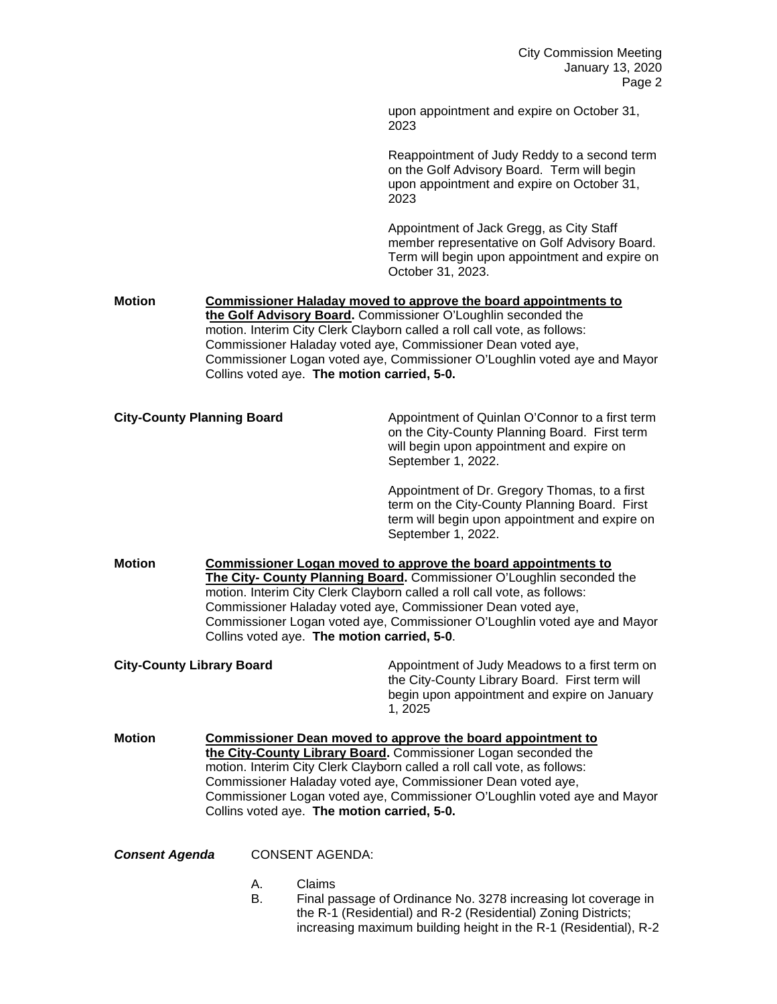upon appointment and expire on October 31, 2023

Reappointment of Judy Reddy to a second term on the Golf Advisory Board. Term will begin upon appointment and expire on October 31, 2023

Appointment of Jack Gregg, as City Staff member representative on Golf Advisory Board. Term will begin upon appointment and expire on October 31, 2023.

## **Motion Commissioner Haladay moved to approve the board appointments to the Golf Advisory Board.** Commissioner O'Loughlin seconded the motion. Interim City Clerk Clayborn called a roll call vote, as follows: Commissioner Haladay voted aye, Commissioner Dean voted aye, Commissioner Logan voted aye, Commissioner O'Loughlin voted aye and Mayor Collins voted aye. **The motion carried, 5-0.**

**City-County Planning Board Appointment of Quinlan O'Connor to a first term** on the City-County Planning Board. First term will begin upon appointment and expire on September 1, 2022.

> Appointment of Dr. Gregory Thomas, to a first term on the City-County Planning Board. First term will begin upon appointment and expire on September 1, 2022.

**Motion Commissioner Logan moved to approve the board appointments to The City- County Planning Board.** Commissioner O'Loughlin seconded the motion. Interim City Clerk Clayborn called a roll call vote, as follows: Commissioner Haladay voted aye, Commissioner Dean voted aye, Commissioner Logan voted aye, Commissioner O'Loughlin voted aye and Mayor Collins voted aye. **The motion carried, 5-0**.

**City-County Library Board Appointment of Judy Meadows to a first term on** the City-County Library Board. First term will begin upon appointment and expire on January 1, 2025

**Motion Commissioner Dean moved to approve the board appointment to the City-County Library Board.** Commissioner Logan seconded the motion. Interim City Clerk Clayborn called a roll call vote, as follows: Commissioner Haladay voted aye, Commissioner Dean voted aye, Commissioner Logan voted aye, Commissioner O'Loughlin voted aye and Mayor Collins voted aye. **The motion carried, 5-0.**

*Consent Agenda* CONSENT AGENDA:

- A. Claims
- B. Final passage of Ordinance No. 3278 increasing lot coverage in the R-1 (Residential) and R-2 (Residential) Zoning Districts; increasing maximum building height in the R-1 (Residential), R-2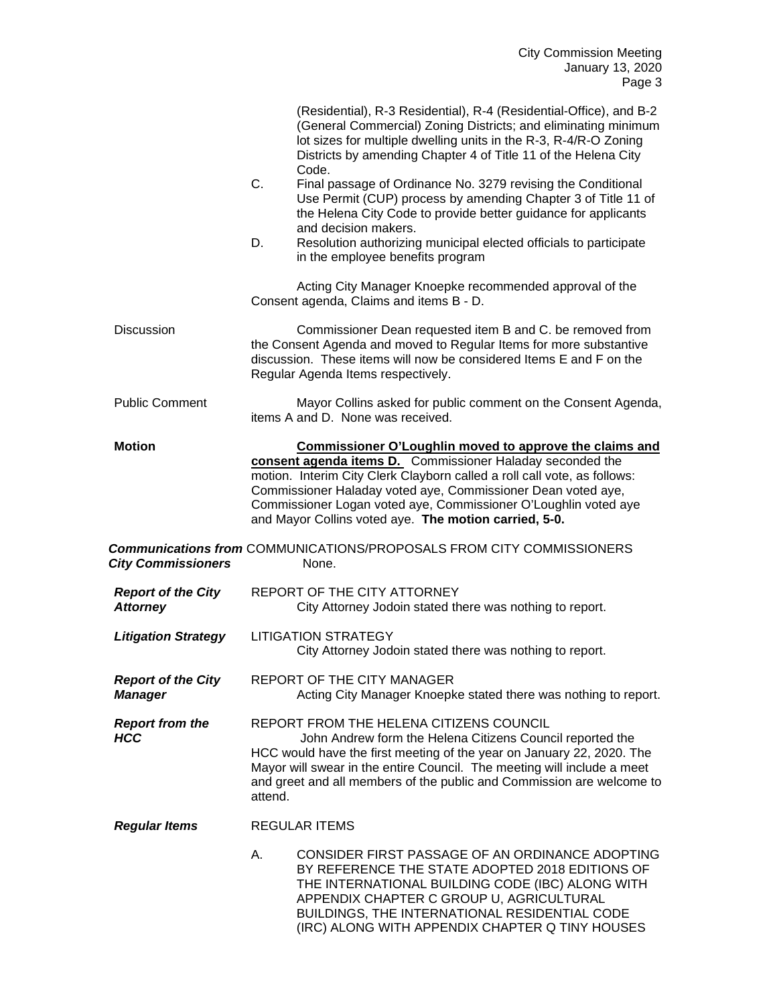|                                              |         | (Residential), R-3 Residential), R-4 (Residential-Office), and B-2<br>(General Commercial) Zoning Districts; and eliminating minimum<br>lot sizes for multiple dwelling units in the R-3, R-4/R-O Zoning<br>Districts by amending Chapter 4 of Title 11 of the Helena City<br>Code.                                                                                                                 |
|----------------------------------------------|---------|-----------------------------------------------------------------------------------------------------------------------------------------------------------------------------------------------------------------------------------------------------------------------------------------------------------------------------------------------------------------------------------------------------|
|                                              | C.      | Final passage of Ordinance No. 3279 revising the Conditional<br>Use Permit (CUP) process by amending Chapter 3 of Title 11 of<br>the Helena City Code to provide better guidance for applicants<br>and decision makers.                                                                                                                                                                             |
|                                              | D.      | Resolution authorizing municipal elected officials to participate<br>in the employee benefits program                                                                                                                                                                                                                                                                                               |
|                                              |         | Acting City Manager Knoepke recommended approval of the<br>Consent agenda, Claims and items B - D.                                                                                                                                                                                                                                                                                                  |
| <b>Discussion</b>                            |         | Commissioner Dean requested item B and C. be removed from<br>the Consent Agenda and moved to Regular Items for more substantive<br>discussion. These items will now be considered Items E and F on the<br>Regular Agenda Items respectively.                                                                                                                                                        |
| <b>Public Comment</b>                        |         | Mayor Collins asked for public comment on the Consent Agenda,<br>items A and D. None was received.                                                                                                                                                                                                                                                                                                  |
| <b>Motion</b>                                |         | <b>Commissioner O'Loughlin moved to approve the claims and</b><br>consent agenda items D. Commissioner Haladay seconded the<br>motion. Interim City Clerk Clayborn called a roll call vote, as follows:<br>Commissioner Haladay voted aye, Commissioner Dean voted aye,<br>Commissioner Logan voted aye, Commissioner O'Loughlin voted aye<br>and Mayor Collins voted aye. The motion carried, 5-0. |
| <b>City Commissioners</b>                    |         | <b>Communications from COMMUNICATIONS/PROPOSALS FROM CITY COMMISSIONERS</b><br>None.                                                                                                                                                                                                                                                                                                                |
| <b>Report of the City</b><br><b>Attorney</b> |         | REPORT OF THE CITY ATTORNEY<br>City Attorney Jodoin stated there was nothing to report.                                                                                                                                                                                                                                                                                                             |
| <b>Litigation Strategy</b>                   |         | <b>LITIGATION STRATEGY</b><br>City Attorney Jodoin stated there was nothing to report.                                                                                                                                                                                                                                                                                                              |
| <b>Report of the City</b><br><b>Manager</b>  |         | REPORT OF THE CITY MANAGER<br>Acting City Manager Knoepke stated there was nothing to report.                                                                                                                                                                                                                                                                                                       |
| <b>Report from the</b>                       |         | REPORT FROM THE HELENA CITIZENS COUNCIL                                                                                                                                                                                                                                                                                                                                                             |
| <b>HCC</b>                                   | attend. | John Andrew form the Helena Citizens Council reported the<br>HCC would have the first meeting of the year on January 22, 2020. The<br>Mayor will swear in the entire Council. The meeting will include a meet<br>and greet and all members of the public and Commission are welcome to                                                                                                              |
| <b>Regular Items</b>                         |         | <b>REGULAR ITEMS</b>                                                                                                                                                                                                                                                                                                                                                                                |
|                                              | Α.      | CONSIDER FIRST PASSAGE OF AN ORDINANCE ADOPTING<br>BY REFERENCE THE STATE ADOPTED 2018 EDITIONS OF<br>THE INTERNATIONAL BUILDING CODE (IBC) ALONG WITH<br>APPENDIX CHAPTER C GROUP U, AGRICULTURAL<br>BUILDINGS, THE INTERNATIONAL RESIDENTIAL CODE<br>(IRC) ALONG WITH APPENDIX CHAPTER Q TINY HOUSES                                                                                              |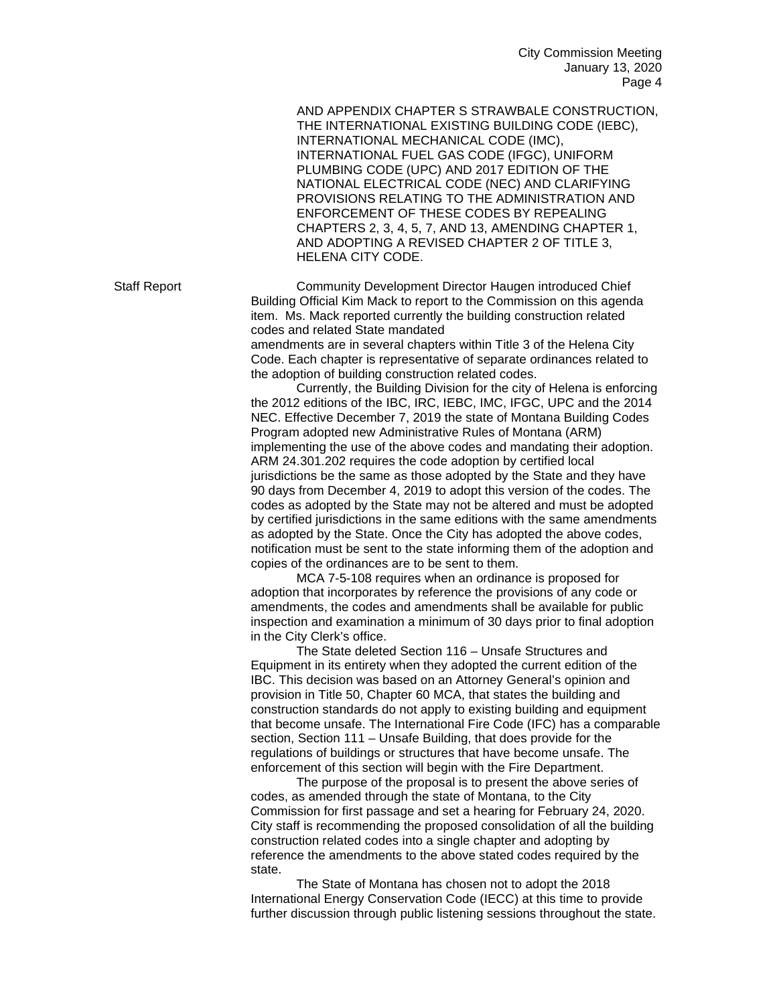AND APPENDIX CHAPTER S STRAWBALE CONSTRUCTION, THE INTERNATIONAL EXISTING BUILDING CODE (IEBC), INTERNATIONAL MECHANICAL CODE (IMC), INTERNATIONAL FUEL GAS CODE (IFGC), UNIFORM PLUMBING CODE (UPC) AND 2017 EDITION OF THE NATIONAL ELECTRICAL CODE (NEC) AND CLARIFYING PROVISIONS RELATING TO THE ADMINISTRATION AND ENFORCEMENT OF THESE CODES BY REPEALING CHAPTERS 2, 3, 4, 5, 7, AND 13, AMENDING CHAPTER 1, AND ADOPTING A REVISED CHAPTER 2 OF TITLE 3, HELENA CITY CODE.

Staff Report Community Development Director Haugen introduced Chief Building Official Kim Mack to report to the Commission on this agenda item. Ms. Mack reported currently the building construction related codes and related State mandated

amendments are in several chapters within Title 3 of the Helena City Code. Each chapter is representative of separate ordinances related to the adoption of building construction related codes.

Currently, the Building Division for the city of Helena is enforcing the 2012 editions of the IBC, IRC, IEBC, IMC, IFGC, UPC and the 2014 NEC. Effective December 7, 2019 the state of Montana Building Codes Program adopted new Administrative Rules of Montana (ARM) implementing the use of the above codes and mandating their adoption. ARM 24.301.202 requires the code adoption by certified local jurisdictions be the same as those adopted by the State and they have 90 days from December 4, 2019 to adopt this version of the codes. The codes as adopted by the State may not be altered and must be adopted by certified jurisdictions in the same editions with the same amendments as adopted by the State. Once the City has adopted the above codes, notification must be sent to the state informing them of the adoption and copies of the ordinances are to be sent to them.

MCA 7-5-108 requires when an ordinance is proposed for adoption that incorporates by reference the provisions of any code or amendments, the codes and amendments shall be available for public inspection and examination a minimum of 30 days prior to final adoption in the City Clerk's office.

The State deleted Section 116 – Unsafe Structures and Equipment in its entirety when they adopted the current edition of the IBC. This decision was based on an Attorney General's opinion and provision in Title 50, Chapter 60 MCA, that states the building and construction standards do not apply to existing building and equipment that become unsafe. The International Fire Code (IFC) has a comparable section, Section 111 – Unsafe Building, that does provide for the regulations of buildings or structures that have become unsafe. The enforcement of this section will begin with the Fire Department.

The purpose of the proposal is to present the above series of codes, as amended through the state of Montana, to the City Commission for first passage and set a hearing for February 24, 2020. City staff is recommending the proposed consolidation of all the building construction related codes into a single chapter and adopting by reference the amendments to the above stated codes required by the state.

The State of Montana has chosen not to adopt the 2018 International Energy Conservation Code (IECC) at this time to provide further discussion through public listening sessions throughout the state.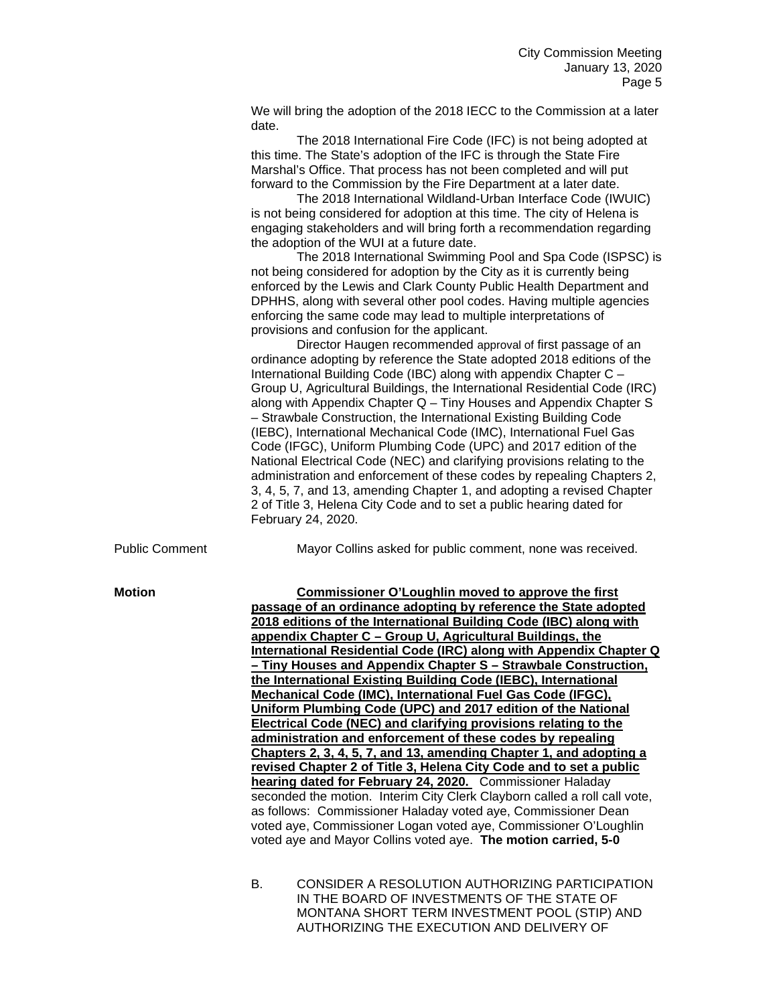We will bring the adoption of the 2018 IECC to the Commission at a later date.

The 2018 International Fire Code (IFC) is not being adopted at this time. The State's adoption of the IFC is through the State Fire Marshal's Office. That process has not been completed and will put forward to the Commission by the Fire Department at a later date.

The 2018 International Wildland-Urban Interface Code (IWUIC) is not being considered for adoption at this time. The city of Helena is engaging stakeholders and will bring forth a recommendation regarding the adoption of the WUI at a future date.

The 2018 International Swimming Pool and Spa Code (ISPSC) is not being considered for adoption by the City as it is currently being enforced by the Lewis and Clark County Public Health Department and DPHHS, along with several other pool codes. Having multiple agencies enforcing the same code may lead to multiple interpretations of provisions and confusion for the applicant.

Director Haugen recommended approval of first passage of an ordinance adopting by reference the State adopted 2018 editions of the International Building Code (IBC) along with appendix Chapter C – Group U, Agricultural Buildings, the International Residential Code (IRC) along with Appendix Chapter Q – Tiny Houses and Appendix Chapter S – Strawbale Construction, the International Existing Building Code (IEBC), International Mechanical Code (IMC), International Fuel Gas Code (IFGC), Uniform Plumbing Code (UPC) and 2017 edition of the National Electrical Code (NEC) and clarifying provisions relating to the administration and enforcement of these codes by repealing Chapters 2, 3, 4, 5, 7, and 13, amending Chapter 1, and adopting a revised Chapter 2 of Title 3, Helena City Code and to set a public hearing dated for February 24, 2020.

Public Comment Mayor Collins asked for public comment, none was received.

**Motion Commissioner O'Loughlin moved to approve the first passage of an ordinance adopting by reference the State adopted 2018 editions of the International Building Code (IBC) along with appendix Chapter C – Group U, Agricultural Buildings, the International Residential Code (IRC) along with Appendix Chapter Q – Tiny Houses and Appendix Chapter S – Strawbale Construction, the International Existing Building Code (IEBC), International Mechanical Code (IMC), International Fuel Gas Code (IFGC), Uniform Plumbing Code (UPC) and 2017 edition of the National Electrical Code (NEC) and clarifying provisions relating to the administration and enforcement of these codes by repealing Chapters 2, 3, 4, 5, 7, and 13, amending Chapter 1, and adopting a revised Chapter 2 of Title 3, Helena City Code and to set a public hearing dated for February 24, 2020.** Commissioner Haladay seconded the motion. Interim City Clerk Clayborn called a roll call vote, as follows: Commissioner Haladay voted aye, Commissioner Dean voted aye, Commissioner Logan voted aye, Commissioner O'Loughlin voted aye and Mayor Collins voted aye. **The motion carried, 5-0**

> B. CONSIDER A RESOLUTION AUTHORIZING PARTICIPATION IN THE BOARD OF INVESTMENTS OF THE STATE OF MONTANA SHORT TERM INVESTMENT POOL (STIP) AND AUTHORIZING THE EXECUTION AND DELIVERY OF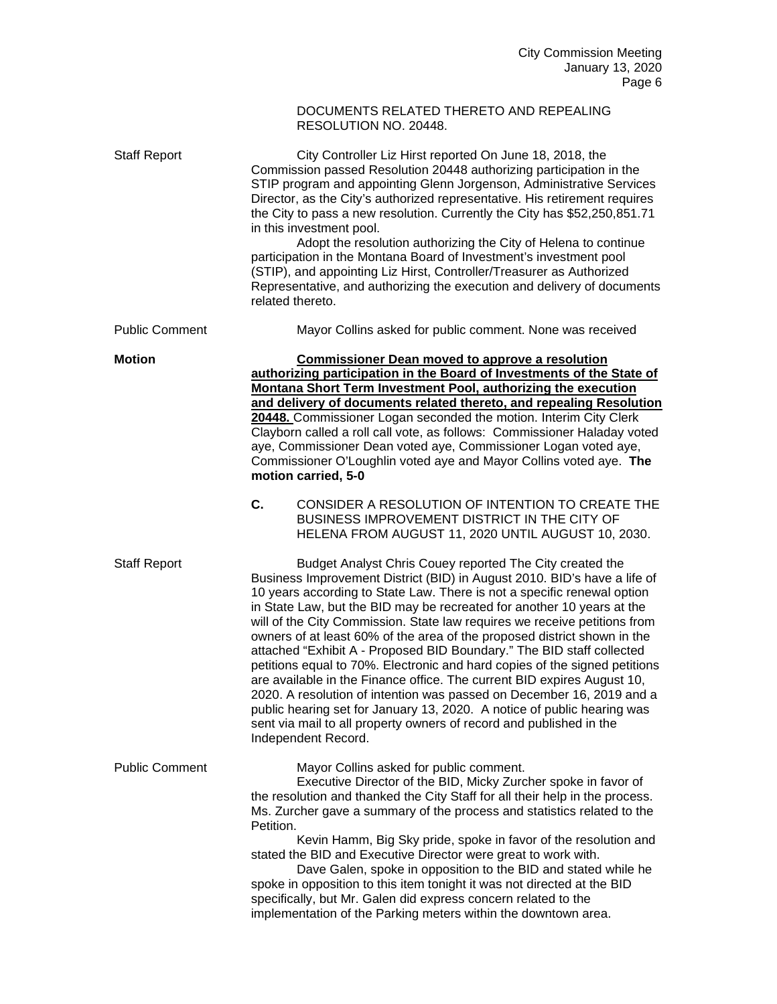## DOCUMENTS RELATED THERETO AND REPEALING RESOLUTION NO. 20448.

| <b>Staff Report</b>   | City Controller Liz Hirst reported On June 18, 2018, the<br>Commission passed Resolution 20448 authorizing participation in the<br>STIP program and appointing Glenn Jorgenson, Administrative Services<br>Director, as the City's authorized representative. His retirement requires<br>the City to pass a new resolution. Currently the City has \$52,250,851.71<br>in this investment pool.<br>Adopt the resolution authorizing the City of Helena to continue<br>participation in the Montana Board of Investment's investment pool<br>(STIP), and appointing Liz Hirst, Controller/Treasurer as Authorized<br>Representative, and authorizing the execution and delivery of documents<br>related thereto.                                                                                                                                                                                                                         |
|-----------------------|----------------------------------------------------------------------------------------------------------------------------------------------------------------------------------------------------------------------------------------------------------------------------------------------------------------------------------------------------------------------------------------------------------------------------------------------------------------------------------------------------------------------------------------------------------------------------------------------------------------------------------------------------------------------------------------------------------------------------------------------------------------------------------------------------------------------------------------------------------------------------------------------------------------------------------------|
| <b>Public Comment</b> | Mayor Collins asked for public comment. None was received                                                                                                                                                                                                                                                                                                                                                                                                                                                                                                                                                                                                                                                                                                                                                                                                                                                                              |
| <b>Motion</b>         | <b>Commissioner Dean moved to approve a resolution</b><br>authorizing participation in the Board of Investments of the State of<br>Montana Short Term Investment Pool, authorizing the execution<br>and delivery of documents related thereto, and repealing Resolution<br>20448. Commissioner Logan seconded the motion. Interim City Clerk<br>Clayborn called a roll call vote, as follows: Commissioner Haladay voted<br>aye, Commissioner Dean voted aye, Commissioner Logan voted aye,<br>Commissioner O'Loughlin voted aye and Mayor Collins voted aye. The<br>motion carried, 5-0                                                                                                                                                                                                                                                                                                                                               |
|                       | C.<br>CONSIDER A RESOLUTION OF INTENTION TO CREATE THE<br>BUSINESS IMPROVEMENT DISTRICT IN THE CITY OF<br>HELENA FROM AUGUST 11, 2020 UNTIL AUGUST 10, 2030.                                                                                                                                                                                                                                                                                                                                                                                                                                                                                                                                                                                                                                                                                                                                                                           |
| <b>Staff Report</b>   | Budget Analyst Chris Couey reported The City created the<br>Business Improvement District (BID) in August 2010. BID's have a life of<br>10 years according to State Law. There is not a specific renewal option<br>in State Law, but the BID may be recreated for another 10 years at the<br>will of the City Commission. State law requires we receive petitions from<br>owners of at least 60% of the area of the proposed district shown in the<br>attached "Exhibit A - Proposed BID Boundary." The BID staff collected<br>petitions equal to 70%. Electronic and hard copies of the signed petitions<br>are available in the Finance office. The current BID expires August 10,<br>2020. A resolution of intention was passed on December 16, 2019 and a<br>public hearing set for January 13, 2020. A notice of public hearing was<br>sent via mail to all property owners of record and published in the<br>Independent Record. |
| <b>Public Comment</b> | Mayor Collins asked for public comment.<br>Executive Director of the BID, Micky Zurcher spoke in favor of<br>the resolution and thanked the City Staff for all their help in the process.<br>Ms. Zurcher gave a summary of the process and statistics related to the<br>Petition.<br>Kevin Hamm, Big Sky pride, spoke in favor of the resolution and<br>stated the BID and Executive Director were great to work with.<br>Dave Galen, spoke in opposition to the BID and stated while he<br>spoke in opposition to this item tonight it was not directed at the BID<br>specifically, but Mr. Galen did express concern related to the<br>implementation of the Parking meters within the downtown area.                                                                                                                                                                                                                                |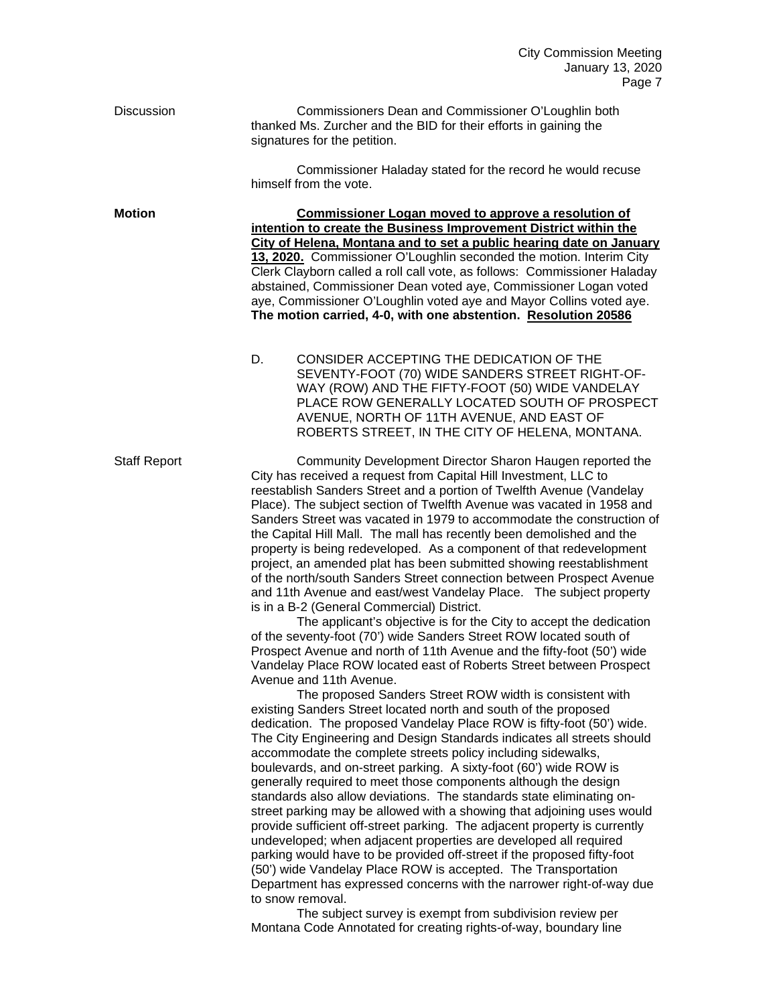| Discussion          | Commissioners Dean and Commissioner O'Loughlin both<br>thanked Ms. Zurcher and the BID for their efforts in gaining the<br>signatures for the petition.                                                                                                                                                                                                                                                                                                                                                                                                                                                                                                                                                                                                                                                                                                                                                                                                                                                                                                                                                                                                                                                                                                                                                                                                                                                                                                                                                                                                                                                                                                                                                                                                                                                                                                                                                                                                                                                                                                                                                                                                                                           |
|---------------------|---------------------------------------------------------------------------------------------------------------------------------------------------------------------------------------------------------------------------------------------------------------------------------------------------------------------------------------------------------------------------------------------------------------------------------------------------------------------------------------------------------------------------------------------------------------------------------------------------------------------------------------------------------------------------------------------------------------------------------------------------------------------------------------------------------------------------------------------------------------------------------------------------------------------------------------------------------------------------------------------------------------------------------------------------------------------------------------------------------------------------------------------------------------------------------------------------------------------------------------------------------------------------------------------------------------------------------------------------------------------------------------------------------------------------------------------------------------------------------------------------------------------------------------------------------------------------------------------------------------------------------------------------------------------------------------------------------------------------------------------------------------------------------------------------------------------------------------------------------------------------------------------------------------------------------------------------------------------------------------------------------------------------------------------------------------------------------------------------------------------------------------------------------------------------------------------------|
|                     | Commissioner Haladay stated for the record he would recuse<br>himself from the vote.                                                                                                                                                                                                                                                                                                                                                                                                                                                                                                                                                                                                                                                                                                                                                                                                                                                                                                                                                                                                                                                                                                                                                                                                                                                                                                                                                                                                                                                                                                                                                                                                                                                                                                                                                                                                                                                                                                                                                                                                                                                                                                              |
| <b>Motion</b>       | <b>Commissioner Logan moved to approve a resolution of</b><br>intention to create the Business Improvement District within the<br>City of Helena, Montana and to set a public hearing date on January<br>13, 2020. Commissioner O'Loughlin seconded the motion. Interim City<br>Clerk Clayborn called a roll call vote, as follows: Commissioner Haladay<br>abstained, Commissioner Dean voted aye, Commissioner Logan voted<br>aye, Commissioner O'Loughlin voted aye and Mayor Collins voted aye.<br>The motion carried, 4-0, with one abstention. Resolution 20586                                                                                                                                                                                                                                                                                                                                                                                                                                                                                                                                                                                                                                                                                                                                                                                                                                                                                                                                                                                                                                                                                                                                                                                                                                                                                                                                                                                                                                                                                                                                                                                                                             |
|                     | CONSIDER ACCEPTING THE DEDICATION OF THE<br>D.<br>SEVENTY-FOOT (70) WIDE SANDERS STREET RIGHT-OF-<br>WAY (ROW) AND THE FIFTY-FOOT (50) WIDE VANDELAY<br>PLACE ROW GENERALLY LOCATED SOUTH OF PROSPECT<br>AVENUE, NORTH OF 11TH AVENUE, AND EAST OF<br>ROBERTS STREET, IN THE CITY OF HELENA, MONTANA.                                                                                                                                                                                                                                                                                                                                                                                                                                                                                                                                                                                                                                                                                                                                                                                                                                                                                                                                                                                                                                                                                                                                                                                                                                                                                                                                                                                                                                                                                                                                                                                                                                                                                                                                                                                                                                                                                             |
| <b>Staff Report</b> | Community Development Director Sharon Haugen reported the<br>City has received a request from Capital Hill Investment, LLC to<br>reestablish Sanders Street and a portion of Twelfth Avenue (Vandelay<br>Place). The subject section of Twelfth Avenue was vacated in 1958 and<br>Sanders Street was vacated in 1979 to accommodate the construction of<br>the Capital Hill Mall. The mall has recently been demolished and the<br>property is being redeveloped. As a component of that redevelopment<br>project, an amended plat has been submitted showing reestablishment<br>of the north/south Sanders Street connection between Prospect Avenue<br>and 11th Avenue and east/west Vandelay Place. The subject property<br>is in a B-2 (General Commercial) District.<br>The applicant's objective is for the City to accept the dedication<br>of the seventy-foot (70') wide Sanders Street ROW located south of<br>Prospect Avenue and north of 11th Avenue and the fifty-foot (50') wide<br>Vandelay Place ROW located east of Roberts Street between Prospect<br>Avenue and 11th Avenue.<br>The proposed Sanders Street ROW width is consistent with<br>existing Sanders Street located north and south of the proposed<br>dedication. The proposed Vandelay Place ROW is fifty-foot (50') wide.<br>The City Engineering and Design Standards indicates all streets should<br>accommodate the complete streets policy including sidewalks,<br>boulevards, and on-street parking. A sixty-foot (60') wide ROW is<br>generally required to meet those components although the design<br>standards also allow deviations. The standards state eliminating on-<br>street parking may be allowed with a showing that adjoining uses would<br>provide sufficient off-street parking. The adjacent property is currently<br>undeveloped; when adjacent properties are developed all required<br>parking would have to be provided off-street if the proposed fifty-foot<br>(50') wide Vandelay Place ROW is accepted. The Transportation<br>Department has expressed concerns with the narrower right-of-way due<br>to snow removal.<br>The subject survey is exempt from subdivision review per |

The subject survey is exempt from subdivision review per Montana Code Annotated for creating rights-of-way, boundary line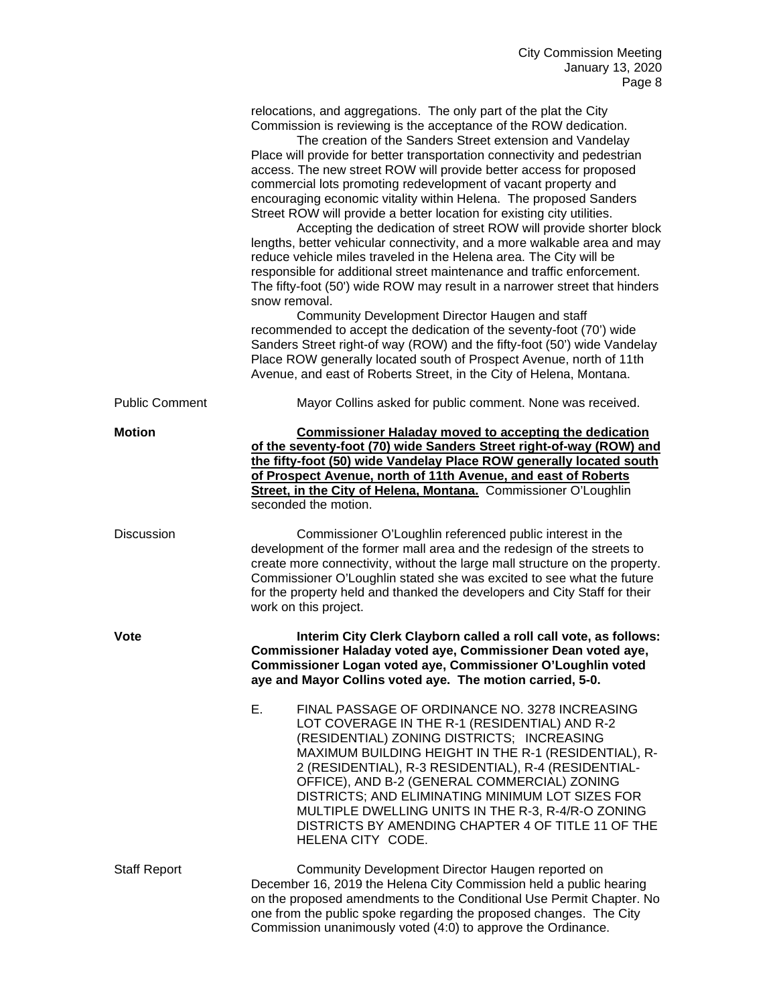|                       | relocations, and aggregations. The only part of the plat the City<br>Commission is reviewing is the acceptance of the ROW dedication.<br>The creation of the Sanders Street extension and Vandelay<br>Place will provide for better transportation connectivity and pedestrian<br>access. The new street ROW will provide better access for proposed<br>commercial lots promoting redevelopment of vacant property and<br>encouraging economic vitality within Helena. The proposed Sanders<br>Street ROW will provide a better location for existing city utilities.<br>Accepting the dedication of street ROW will provide shorter block<br>lengths, better vehicular connectivity, and a more walkable area and may<br>reduce vehicle miles traveled in the Helena area. The City will be<br>responsible for additional street maintenance and traffic enforcement.<br>The fifty-foot (50') wide ROW may result in a narrower street that hinders<br>snow removal.<br>Community Development Director Haugen and staff<br>recommended to accept the dedication of the seventy-foot (70') wide<br>Sanders Street right-of way (ROW) and the fifty-foot (50') wide Vandelay<br>Place ROW generally located south of Prospect Avenue, north of 11th<br>Avenue, and east of Roberts Street, in the City of Helena, Montana. |
|-----------------------|---------------------------------------------------------------------------------------------------------------------------------------------------------------------------------------------------------------------------------------------------------------------------------------------------------------------------------------------------------------------------------------------------------------------------------------------------------------------------------------------------------------------------------------------------------------------------------------------------------------------------------------------------------------------------------------------------------------------------------------------------------------------------------------------------------------------------------------------------------------------------------------------------------------------------------------------------------------------------------------------------------------------------------------------------------------------------------------------------------------------------------------------------------------------------------------------------------------------------------------------------------------------------------------------------------------------------|
| <b>Public Comment</b> | Mayor Collins asked for public comment. None was received.                                                                                                                                                                                                                                                                                                                                                                                                                                                                                                                                                                                                                                                                                                                                                                                                                                                                                                                                                                                                                                                                                                                                                                                                                                                                |
| <b>Motion</b>         | <b>Commissioner Haladay moved to accepting the dedication</b><br>of the seventy-foot (70) wide Sanders Street right-of-way (ROW) and<br>the fifty-foot (50) wide Vandelay Place ROW generally located south<br>of Prospect Avenue, north of 11th Avenue, and east of Roberts<br>Street, in the City of Helena, Montana. Commissioner O'Loughlin<br>seconded the motion.                                                                                                                                                                                                                                                                                                                                                                                                                                                                                                                                                                                                                                                                                                                                                                                                                                                                                                                                                   |
| Discussion            | Commissioner O'Loughlin referenced public interest in the<br>development of the former mall area and the redesign of the streets to<br>create more connectivity, without the large mall structure on the property.<br>Commissioner O'Loughlin stated she was excited to see what the future<br>for the property held and thanked the developers and City Staff for their<br>work on this project.                                                                                                                                                                                                                                                                                                                                                                                                                                                                                                                                                                                                                                                                                                                                                                                                                                                                                                                         |
| Vote                  | Interim City Clerk Clayborn called a roll call vote, as follows:<br>Commissioner Haladay voted aye, Commissioner Dean voted aye,<br>Commissioner Logan voted aye, Commissioner O'Loughlin voted<br>aye and Mayor Collins voted aye. The motion carried, 5-0.                                                                                                                                                                                                                                                                                                                                                                                                                                                                                                                                                                                                                                                                                                                                                                                                                                                                                                                                                                                                                                                              |
|                       | FINAL PASSAGE OF ORDINANCE NO. 3278 INCREASING<br>Е.<br>LOT COVERAGE IN THE R-1 (RESIDENTIAL) AND R-2<br>(RESIDENTIAL) ZONING DISTRICTS; INCREASING<br>MAXIMUM BUILDING HEIGHT IN THE R-1 (RESIDENTIAL), R-<br>2 (RESIDENTIAL), R-3 RESIDENTIAL), R-4 (RESIDENTIAL-<br>OFFICE), AND B-2 (GENERAL COMMERCIAL) ZONING<br>DISTRICTS; AND ELIMINATING MINIMUM LOT SIZES FOR<br>MULTIPLE DWELLING UNITS IN THE R-3, R-4/R-O ZONING<br>DISTRICTS BY AMENDING CHAPTER 4 OF TITLE 11 OF THE<br>HELENA CITY CODE.                                                                                                                                                                                                                                                                                                                                                                                                                                                                                                                                                                                                                                                                                                                                                                                                                  |
| <b>Staff Report</b>   | Community Development Director Haugen reported on<br>December 16, 2019 the Helena City Commission held a public hearing<br>on the proposed amendments to the Conditional Use Permit Chapter. No<br>one from the public spoke regarding the proposed changes. The City<br>Commission unanimously voted (4:0) to approve the Ordinance.                                                                                                                                                                                                                                                                                                                                                                                                                                                                                                                                                                                                                                                                                                                                                                                                                                                                                                                                                                                     |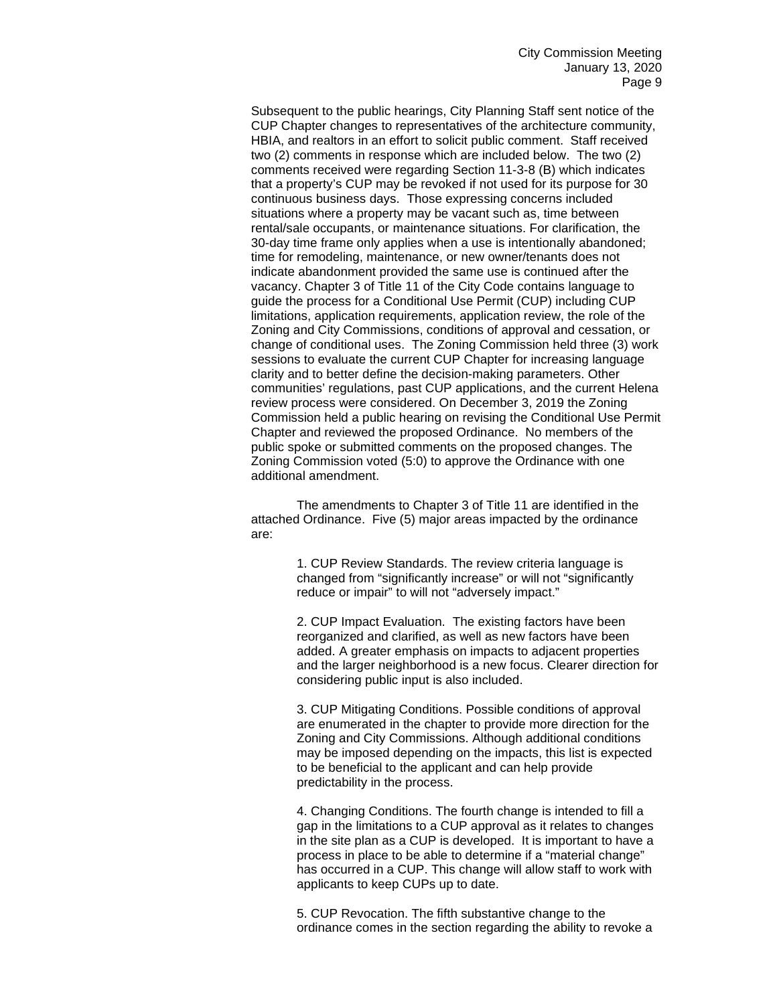Subsequent to the public hearings, City Planning Staff sent notice of the CUP Chapter changes to representatives of the architecture community, HBIA, and realtors in an effort to solicit public comment. Staff received two (2) comments in response which are included below. The two (2) comments received were regarding Section 11-3-8 (B) which indicates that a property's CUP may be revoked if not used for its purpose for 30 continuous business days. Those expressing concerns included situations where a property may be vacant such as, time between rental/sale occupants, or maintenance situations. For clarification, the 30-day time frame only applies when a use is intentionally abandoned; time for remodeling, maintenance, or new owner/tenants does not indicate abandonment provided the same use is continued after the vacancy. Chapter 3 of Title 11 of the City Code contains language to guide the process for a Conditional Use Permit (CUP) including CUP limitations, application requirements, application review, the role of the Zoning and City Commissions, conditions of approval and cessation, or change of conditional uses. The Zoning Commission held three (3) work sessions to evaluate the current CUP Chapter for increasing language clarity and to better define the decision-making parameters. Other communities' regulations, past CUP applications, and the current Helena review process were considered. On December 3, 2019 the Zoning Commission held a public hearing on revising the Conditional Use Permit Chapter and reviewed the proposed Ordinance. No members of the public spoke or submitted comments on the proposed changes. The Zoning Commission voted (5:0) to approve the Ordinance with one additional amendment.

The amendments to Chapter 3 of Title 11 are identified in the attached Ordinance. Five (5) major areas impacted by the ordinance are:

> 1. CUP Review Standards. The review criteria language is changed from "significantly increase" or will not "significantly reduce or impair" to will not "adversely impact."

2. CUP Impact Evaluation. The existing factors have been reorganized and clarified, as well as new factors have been added. A greater emphasis on impacts to adjacent properties and the larger neighborhood is a new focus. Clearer direction for considering public input is also included.

3. CUP Mitigating Conditions. Possible conditions of approval are enumerated in the chapter to provide more direction for the Zoning and City Commissions. Although additional conditions may be imposed depending on the impacts, this list is expected to be beneficial to the applicant and can help provide predictability in the process.

4. Changing Conditions. The fourth change is intended to fill a gap in the limitations to a CUP approval as it relates to changes in the site plan as a CUP is developed. It is important to have a process in place to be able to determine if a "material change" has occurred in a CUP. This change will allow staff to work with applicants to keep CUPs up to date.

5. CUP Revocation. The fifth substantive change to the ordinance comes in the section regarding the ability to revoke a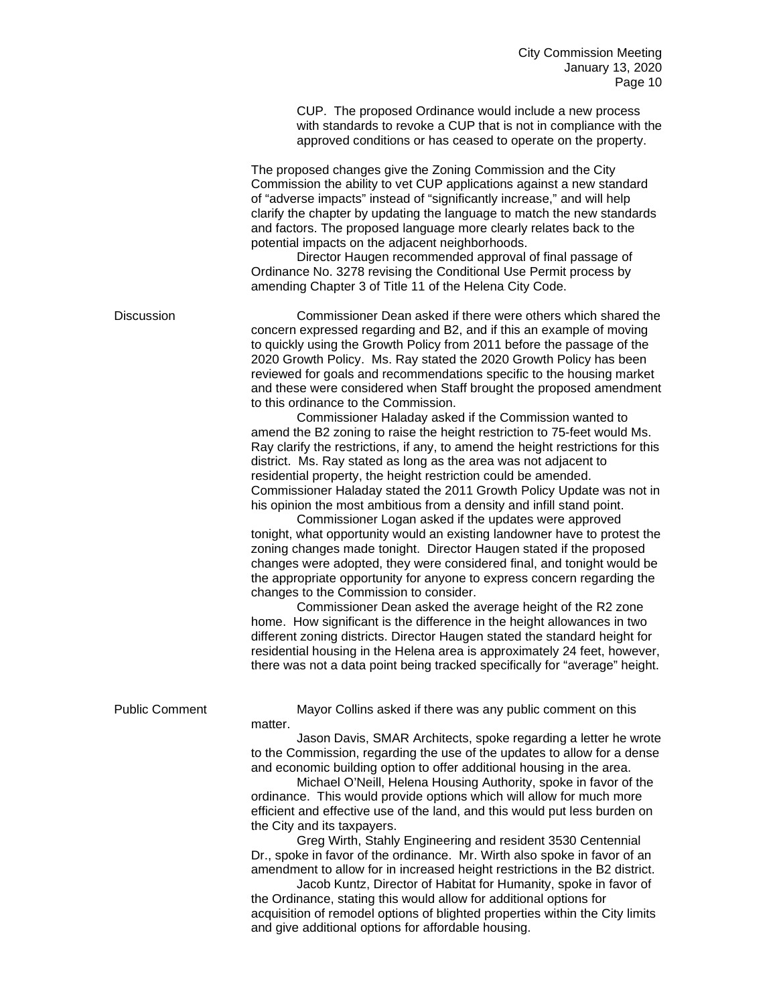CUP. The proposed Ordinance would include a new process with standards to revoke a CUP that is not in compliance with the approved conditions or has ceased to operate on the property.

The proposed changes give the Zoning Commission and the City Commission the ability to vet CUP applications against a new standard of "adverse impacts" instead of "significantly increase," and will help clarify the chapter by updating the language to match the new standards and factors. The proposed language more clearly relates back to the potential impacts on the adjacent neighborhoods.

Director Haugen recommended approval of final passage of Ordinance No. 3278 revising the Conditional Use Permit process by amending Chapter 3 of Title 11 of the Helena City Code.

Discussion Commissioner Dean asked if there were others which shared the concern expressed regarding and B2, and if this an example of moving to quickly using the Growth Policy from 2011 before the passage of the 2020 Growth Policy. Ms. Ray stated the 2020 Growth Policy has been reviewed for goals and recommendations specific to the housing market and these were considered when Staff brought the proposed amendment to this ordinance to the Commission.

Commissioner Haladay asked if the Commission wanted to amend the B2 zoning to raise the height restriction to 75-feet would Ms. Ray clarify the restrictions, if any, to amend the height restrictions for this district. Ms. Ray stated as long as the area was not adjacent to residential property, the height restriction could be amended. Commissioner Haladay stated the 2011 Growth Policy Update was not in his opinion the most ambitious from a density and infill stand point.

Commissioner Logan asked if the updates were approved tonight, what opportunity would an existing landowner have to protest the zoning changes made tonight. Director Haugen stated if the proposed changes were adopted, they were considered final, and tonight would be the appropriate opportunity for anyone to express concern regarding the changes to the Commission to consider.

Commissioner Dean asked the average height of the R2 zone home. How significant is the difference in the height allowances in two different zoning districts. Director Haugen stated the standard height for residential housing in the Helena area is approximately 24 feet, however, there was not a data point being tracked specifically for "average" height.

| <b>Public Comment</b> | Mayor Collins asked if there was any public comment on this<br>matter.                                                                                   |
|-----------------------|----------------------------------------------------------------------------------------------------------------------------------------------------------|
|                       | Jason Davis, SMAR Architects, spoke regarding a letter he wrote<br>to the Commission, regarding the use of the updates to allow for a dense              |
|                       | and economic building option to offer additional housing in the area.                                                                                    |
|                       | Michael O'Neill, Helena Housing Authority, spoke in favor of the<br>ordinance. This would provide options which will allow for much more                 |
|                       | efficient and effective use of the land, and this would put less burden on<br>the City and its taxpayers.                                                |
|                       | Greg Wirth, Stahly Engineering and resident 3530 Centennial                                                                                              |
|                       | Dr., spoke in favor of the ordinance. Mr. Wirth also spoke in favor of an<br>amendment to allow for in increased height restrictions in the B2 district. |
|                       | Jacob Kuntz, Director of Habitat for Humanity, spoke in favor of                                                                                         |
|                       | the Ordinance, stating this would allow for additional options for<br>acquisition of remodel options of blighted properties within the City limits       |
|                       | and give additional options for affordable housing.                                                                                                      |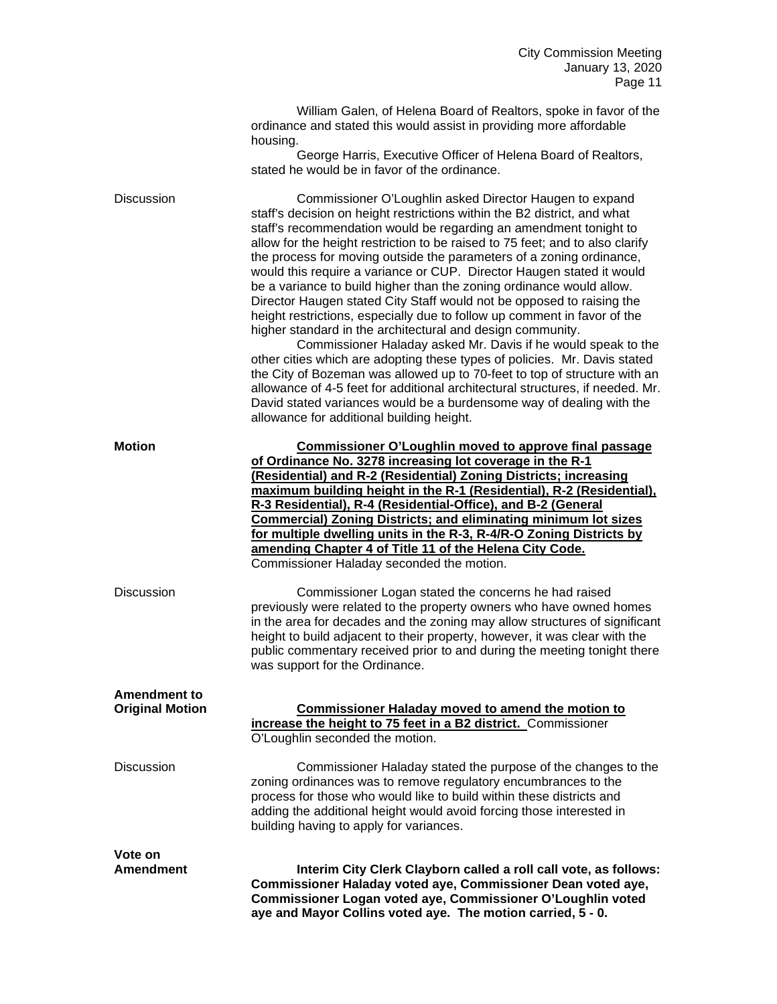| William Galen, of Helena Board of Realtors, spoke in favor of the   |
|---------------------------------------------------------------------|
| ordinance and stated this would assist in providing more affordable |
| housing.                                                            |

George Harris, Executive Officer of Helena Board of Realtors, stated he would be in favor of the ordinance.

Discussion Commissioner O'Loughlin asked Director Haugen to expand staff's decision on height restrictions within the B2 district, and what staff's recommendation would be regarding an amendment tonight to allow for the height restriction to be raised to 75 feet; and to also clarify the process for moving outside the parameters of a zoning ordinance, would this require a variance or CUP. Director Haugen stated it would be a variance to build higher than the zoning ordinance would allow. Director Haugen stated City Staff would not be opposed to raising the height restrictions, especially due to follow up comment in favor of the higher standard in the architectural and design community.

Commissioner Haladay asked Mr. Davis if he would speak to the other cities which are adopting these types of policies. Mr. Davis stated the City of Bozeman was allowed up to 70-feet to top of structure with an allowance of 4-5 feet for additional architectural structures, if needed. Mr. David stated variances would be a burdensome way of dealing with the allowance for additional building height.

| <b>Motion</b>                                 | Commissioner O'Loughlin moved to approve final passage<br>of Ordinance No. 3278 increasing lot coverage in the R-1<br>(Residential) and R-2 (Residential) Zoning Districts; increasing<br>maximum building height in the R-1 (Residential), R-2 (Residential),<br>R-3 Residential), R-4 (Residential-Office), and B-2 (General<br><b>Commercial) Zoning Districts; and eliminating minimum lot sizes</b><br>for multiple dwelling units in the R-3, R-4/R-O Zoning Districts by<br>amending Chapter 4 of Title 11 of the Helena City Code.<br>Commissioner Haladay seconded the motion. |
|-----------------------------------------------|-----------------------------------------------------------------------------------------------------------------------------------------------------------------------------------------------------------------------------------------------------------------------------------------------------------------------------------------------------------------------------------------------------------------------------------------------------------------------------------------------------------------------------------------------------------------------------------------|
| Discussion                                    | Commissioner Logan stated the concerns he had raised<br>previously were related to the property owners who have owned homes<br>in the area for decades and the zoning may allow structures of significant<br>height to build adjacent to their property, however, it was clear with the<br>public commentary received prior to and during the meeting tonight there<br>was support for the Ordinance.                                                                                                                                                                                   |
| <b>Amendment to</b><br><b>Original Motion</b> | <b>Commissioner Haladay moved to amend the motion to</b><br>increase the height to 75 feet in a B2 district. Commissioner<br>O'Loughlin seconded the motion.                                                                                                                                                                                                                                                                                                                                                                                                                            |
| <b>Discussion</b>                             | Commissioner Haladay stated the purpose of the changes to the<br>zoning ordinances was to remove regulatory encumbrances to the<br>process for those who would like to build within these districts and<br>adding the additional height would avoid forcing those interested in<br>building having to apply for variances.                                                                                                                                                                                                                                                              |
| Vote on<br>Amendment                          | Interim City Clerk Clayborn called a roll call vote, as follows:<br>Commissioner Haladay voted aye, Commissioner Dean voted aye,<br>Commissioner Logan voted aye, Commissioner O'Loughlin voted<br>aye and Mayor Collins voted aye. The motion carried, 5 - 0.                                                                                                                                                                                                                                                                                                                          |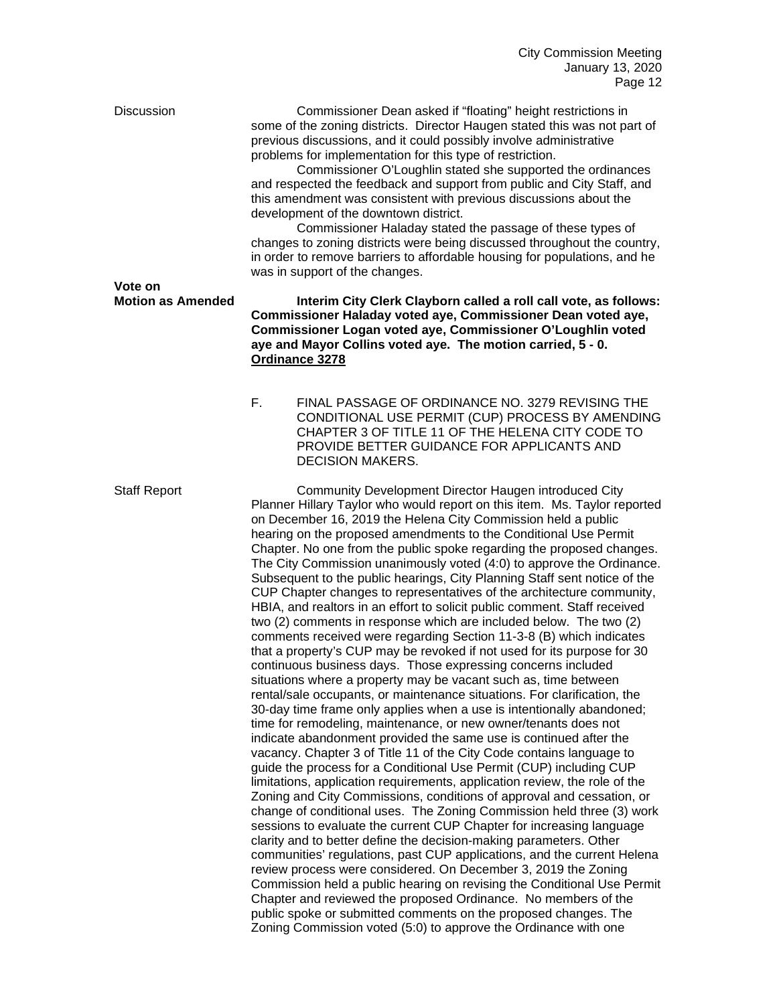Discussion Commissioner Dean asked if "floating" height restrictions in some of the zoning districts. Director Haugen stated this was not part of previous discussions, and it could possibly involve administrative problems for implementation for this type of restriction.

> Commissioner O'Loughlin stated she supported the ordinances and respected the feedback and support from public and City Staff, and this amendment was consistent with previous discussions about the development of the downtown district.

Commissioner Haladay stated the passage of these types of changes to zoning districts were being discussed throughout the country, in order to remove barriers to affordable housing for populations, and he was in support of the changes.

# **Vote on<br>Motion as Amended**

**Interim City Clerk Clayborn called a roll call vote, as follows: Commissioner Haladay voted aye, Commissioner Dean voted aye, Commissioner Logan voted aye, Commissioner O'Loughlin voted aye and Mayor Collins voted aye. The motion carried, 5 - 0. Ordinance 3278**

F. FINAL PASSAGE OF ORDINANCE NO. 3279 REVISING THE CONDITIONAL USE PERMIT (CUP) PROCESS BY AMENDING CHAPTER 3 OF TITLE 11 OF THE HELENA CITY CODE TO PROVIDE BETTER GUIDANCE FOR APPLICANTS AND DECISION MAKERS.

Staff Report Community Development Director Haugen introduced City Planner Hillary Taylor who would report on this item. Ms. Taylor reported on December 16, 2019 the Helena City Commission held a public hearing on the proposed amendments to the Conditional Use Permit Chapter. No one from the public spoke regarding the proposed changes. The City Commission unanimously voted (4:0) to approve the Ordinance. Subsequent to the public hearings, City Planning Staff sent notice of the CUP Chapter changes to representatives of the architecture community, HBIA, and realtors in an effort to solicit public comment. Staff received two (2) comments in response which are included below. The two (2) comments received were regarding Section 11-3-8 (B) which indicates that a property's CUP may be revoked if not used for its purpose for 30 continuous business days. Those expressing concerns included situations where a property may be vacant such as, time between rental/sale occupants, or maintenance situations. For clarification, the 30-day time frame only applies when a use is intentionally abandoned; time for remodeling, maintenance, or new owner/tenants does not indicate abandonment provided the same use is continued after the vacancy. Chapter 3 of Title 11 of the City Code contains language to guide the process for a Conditional Use Permit (CUP) including CUP limitations, application requirements, application review, the role of the Zoning and City Commissions, conditions of approval and cessation, or change of conditional uses. The Zoning Commission held three (3) work sessions to evaluate the current CUP Chapter for increasing language clarity and to better define the decision-making parameters. Other communities' regulations, past CUP applications, and the current Helena review process were considered. On December 3, 2019 the Zoning Commission held a public hearing on revising the Conditional Use Permit Chapter and reviewed the proposed Ordinance. No members of the public spoke or submitted comments on the proposed changes. The Zoning Commission voted (5:0) to approve the Ordinance with one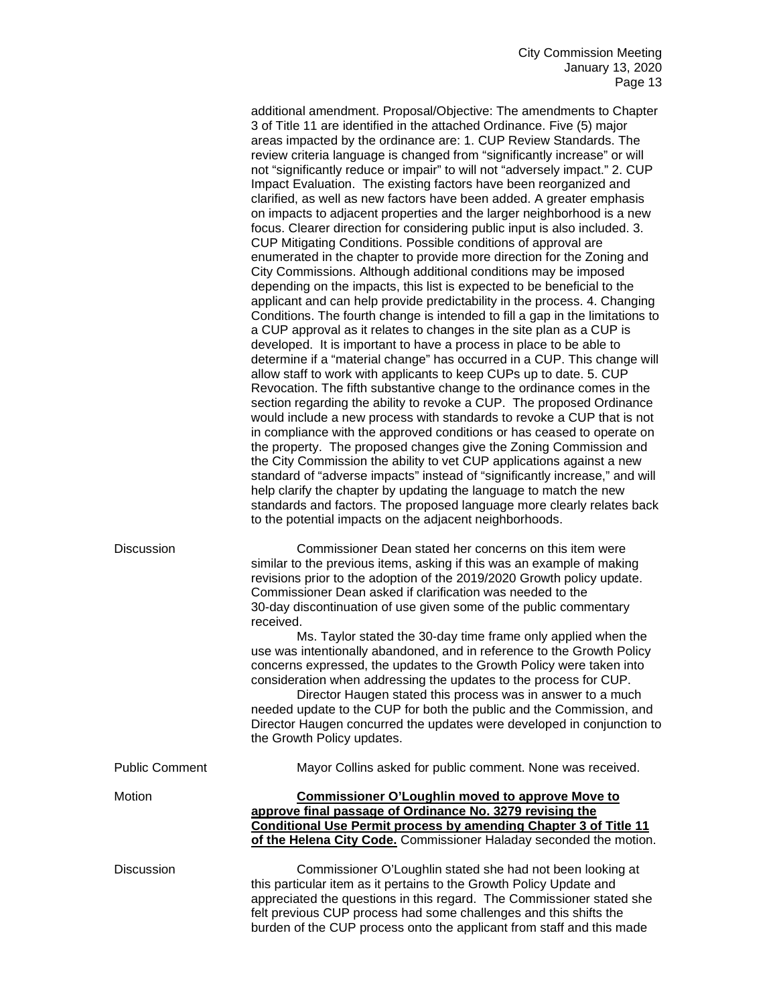|                       | additional amendment. Proposal/Objective: The amendments to Chapter<br>3 of Title 11 are identified in the attached Ordinance. Five (5) major<br>areas impacted by the ordinance are: 1. CUP Review Standards. The<br>review criteria language is changed from "significantly increase" or will<br>not "significantly reduce or impair" to will not "adversely impact." 2. CUP<br>Impact Evaluation. The existing factors have been reorganized and<br>clarified, as well as new factors have been added. A greater emphasis<br>on impacts to adjacent properties and the larger neighborhood is a new<br>focus. Clearer direction for considering public input is also included. 3.<br>CUP Mitigating Conditions. Possible conditions of approval are<br>enumerated in the chapter to provide more direction for the Zoning and<br>City Commissions. Although additional conditions may be imposed<br>depending on the impacts, this list is expected to be beneficial to the<br>applicant and can help provide predictability in the process. 4. Changing<br>Conditions. The fourth change is intended to fill a gap in the limitations to<br>a CUP approval as it relates to changes in the site plan as a CUP is<br>developed. It is important to have a process in place to be able to<br>determine if a "material change" has occurred in a CUP. This change will<br>allow staff to work with applicants to keep CUPs up to date. 5. CUP<br>Revocation. The fifth substantive change to the ordinance comes in the<br>section regarding the ability to revoke a CUP. The proposed Ordinance<br>would include a new process with standards to revoke a CUP that is not<br>in compliance with the approved conditions or has ceased to operate on<br>the property. The proposed changes give the Zoning Commission and<br>the City Commission the ability to vet CUP applications against a new<br>standard of "adverse impacts" instead of "significantly increase," and will<br>help clarify the chapter by updating the language to match the new<br>standards and factors. The proposed language more clearly relates back<br>to the potential impacts on the adjacent neighborhoods. |
|-----------------------|-----------------------------------------------------------------------------------------------------------------------------------------------------------------------------------------------------------------------------------------------------------------------------------------------------------------------------------------------------------------------------------------------------------------------------------------------------------------------------------------------------------------------------------------------------------------------------------------------------------------------------------------------------------------------------------------------------------------------------------------------------------------------------------------------------------------------------------------------------------------------------------------------------------------------------------------------------------------------------------------------------------------------------------------------------------------------------------------------------------------------------------------------------------------------------------------------------------------------------------------------------------------------------------------------------------------------------------------------------------------------------------------------------------------------------------------------------------------------------------------------------------------------------------------------------------------------------------------------------------------------------------------------------------------------------------------------------------------------------------------------------------------------------------------------------------------------------------------------------------------------------------------------------------------------------------------------------------------------------------------------------------------------------------------------------------------------------------------------------------------------------------------------------------------------------------------------|
| Discussion            | Commissioner Dean stated her concerns on this item were<br>similar to the previous items, asking if this was an example of making<br>revisions prior to the adoption of the 2019/2020 Growth policy update.<br>Commissioner Dean asked if clarification was needed to the<br>30-day discontinuation of use given some of the public commentary<br>received.                                                                                                                                                                                                                                                                                                                                                                                                                                                                                                                                                                                                                                                                                                                                                                                                                                                                                                                                                                                                                                                                                                                                                                                                                                                                                                                                                                                                                                                                                                                                                                                                                                                                                                                                                                                                                                   |
|                       | Ms. Taylor stated the 30-day time frame only applied when the<br>use was intentionally abandoned, and in reference to the Growth Policy<br>concerns expressed, the updates to the Growth Policy were taken into<br>consideration when addressing the updates to the process for CUP.<br>Director Haugen stated this process was in answer to a much<br>needed update to the CUP for both the public and the Commission, and<br>Director Haugen concurred the updates were developed in conjunction to<br>the Growth Policy updates.                                                                                                                                                                                                                                                                                                                                                                                                                                                                                                                                                                                                                                                                                                                                                                                                                                                                                                                                                                                                                                                                                                                                                                                                                                                                                                                                                                                                                                                                                                                                                                                                                                                           |
| <b>Public Comment</b> | Mayor Collins asked for public comment. None was received.                                                                                                                                                                                                                                                                                                                                                                                                                                                                                                                                                                                                                                                                                                                                                                                                                                                                                                                                                                                                                                                                                                                                                                                                                                                                                                                                                                                                                                                                                                                                                                                                                                                                                                                                                                                                                                                                                                                                                                                                                                                                                                                                    |
| Motion                | <b>Commissioner O'Loughlin moved to approve Move to</b><br>approve final passage of Ordinance No. 3279 revising the<br>Conditional Use Permit process by amending Chapter 3 of Title 11<br>of the Helena City Code. Commissioner Haladay seconded the motion.                                                                                                                                                                                                                                                                                                                                                                                                                                                                                                                                                                                                                                                                                                                                                                                                                                                                                                                                                                                                                                                                                                                                                                                                                                                                                                                                                                                                                                                                                                                                                                                                                                                                                                                                                                                                                                                                                                                                 |
| Discussion            | Commissioner O'Loughlin stated she had not been looking at<br>this particular item as it pertains to the Growth Policy Update and<br>appreciated the questions in this regard. The Commissioner stated she<br>felt previous CUP process had some challenges and this shifts the<br>burden of the CUP process onto the applicant from staff and this made                                                                                                                                                                                                                                                                                                                                                                                                                                                                                                                                                                                                                                                                                                                                                                                                                                                                                                                                                                                                                                                                                                                                                                                                                                                                                                                                                                                                                                                                                                                                                                                                                                                                                                                                                                                                                                      |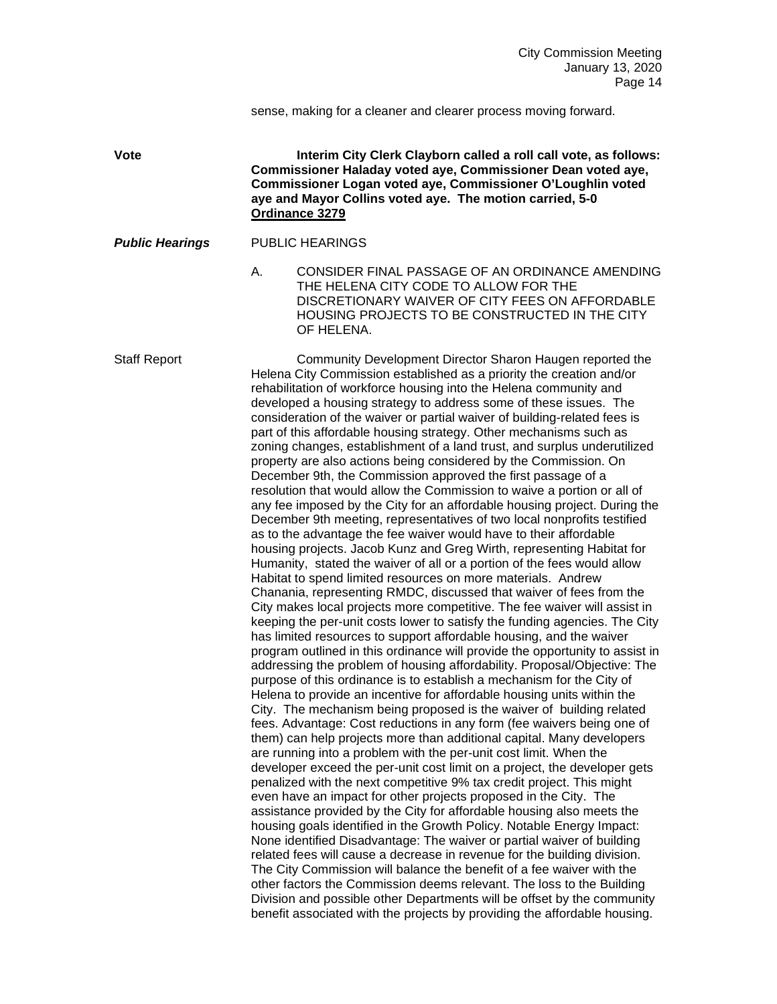sense, making for a cleaner and clearer process moving forward.

**Vote Interim City Clerk Clayborn called a roll call vote, as follows: Commissioner Haladay voted aye, Commissioner Dean voted aye, Commissioner Logan voted aye, Commissioner O'Loughlin voted aye and Mayor Collins voted aye. The motion carried, 5-0 Ordinance 3279**

*Public Hearings* PUBLIC HEARINGS

A. CONSIDER FINAL PASSAGE OF AN ORDINANCE AMENDING THE HELENA CITY CODE TO ALLOW FOR THE DISCRETIONARY WAIVER OF CITY FEES ON AFFORDABLE HOUSING PROJECTS TO BE CONSTRUCTED IN THE CITY OF HELENA.

Staff Report Community Development Director Sharon Haugen reported the Helena City Commission established as a priority the creation and/or rehabilitation of workforce housing into the Helena community and developed a housing strategy to address some of these issues. The consideration of the waiver or partial waiver of building-related fees is part of this affordable housing strategy. Other mechanisms such as zoning changes, establishment of a land trust, and surplus underutilized property are also actions being considered by the Commission. On December 9th, the Commission approved the first passage of a resolution that would allow the Commission to waive a portion or all of any fee imposed by the City for an affordable housing project. During the December 9th meeting, representatives of two local nonprofits testified as to the advantage the fee waiver would have to their affordable housing projects. Jacob Kunz and Greg Wirth, representing Habitat for Humanity, stated the waiver of all or a portion of the fees would allow Habitat to spend limited resources on more materials. Andrew Chanania, representing RMDC, discussed that waiver of fees from the City makes local projects more competitive. The fee waiver will assist in keeping the per-unit costs lower to satisfy the funding agencies. The City has limited resources to support affordable housing, and the waiver program outlined in this ordinance will provide the opportunity to assist in addressing the problem of housing affordability. Proposal/Objective: The purpose of this ordinance is to establish a mechanism for the City of Helena to provide an incentive for affordable housing units within the City. The mechanism being proposed is the waiver of building related fees. Advantage: Cost reductions in any form (fee waivers being one of them) can help projects more than additional capital. Many developers are running into a problem with the per-unit cost limit. When the developer exceed the per-unit cost limit on a project, the developer gets penalized with the next competitive 9% tax credit project. This might even have an impact for other projects proposed in the City. The assistance provided by the City for affordable housing also meets the housing goals identified in the Growth Policy. Notable Energy Impact: None identified Disadvantage: The waiver or partial waiver of building related fees will cause a decrease in revenue for the building division. The City Commission will balance the benefit of a fee waiver with the other factors the Commission deems relevant. The loss to the Building Division and possible other Departments will be offset by the community benefit associated with the projects by providing the affordable housing.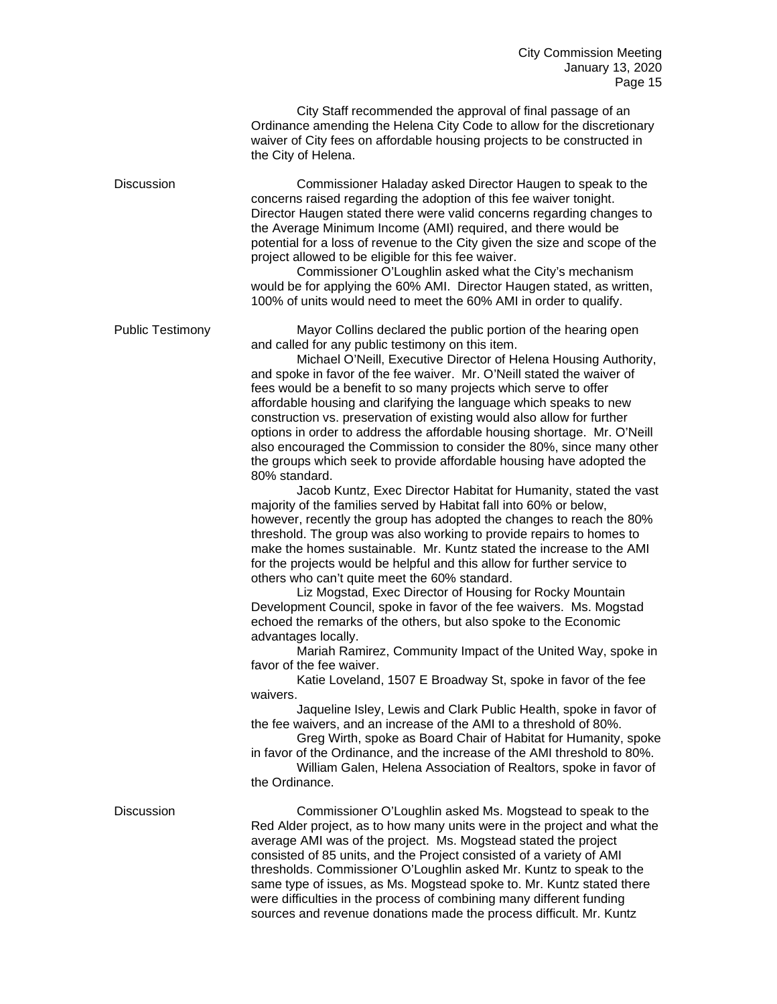|                         | City Staff recommended the approval of final passage of an<br>Ordinance amending the Helena City Code to allow for the discretionary<br>waiver of City fees on affordable housing projects to be constructed in<br>the City of Helena.                                                                                                                                                                                                                                                                                                                                                                                                                                                                                                                                                                                                                                                                                                                                                                                                                                                                                                                                                                                                                                                                                                                                                                                                                                                                                                                                                                                                                                                                                                                                                                                                                                                                                                                                                                                 |
|-------------------------|------------------------------------------------------------------------------------------------------------------------------------------------------------------------------------------------------------------------------------------------------------------------------------------------------------------------------------------------------------------------------------------------------------------------------------------------------------------------------------------------------------------------------------------------------------------------------------------------------------------------------------------------------------------------------------------------------------------------------------------------------------------------------------------------------------------------------------------------------------------------------------------------------------------------------------------------------------------------------------------------------------------------------------------------------------------------------------------------------------------------------------------------------------------------------------------------------------------------------------------------------------------------------------------------------------------------------------------------------------------------------------------------------------------------------------------------------------------------------------------------------------------------------------------------------------------------------------------------------------------------------------------------------------------------------------------------------------------------------------------------------------------------------------------------------------------------------------------------------------------------------------------------------------------------------------------------------------------------------------------------------------------------|
| <b>Discussion</b>       | Commissioner Haladay asked Director Haugen to speak to the<br>concerns raised regarding the adoption of this fee waiver tonight.<br>Director Haugen stated there were valid concerns regarding changes to<br>the Average Minimum Income (AMI) required, and there would be<br>potential for a loss of revenue to the City given the size and scope of the<br>project allowed to be eligible for this fee waiver.<br>Commissioner O'Loughlin asked what the City's mechanism<br>would be for applying the 60% AMI. Director Haugen stated, as written,<br>100% of units would need to meet the 60% AMI in order to qualify.                                                                                                                                                                                                                                                                                                                                                                                                                                                                                                                                                                                                                                                                                                                                                                                                                                                                                                                                                                                                                                                                                                                                                                                                                                                                                                                                                                                             |
| <b>Public Testimony</b> | Mayor Collins declared the public portion of the hearing open<br>and called for any public testimony on this item.<br>Michael O'Neill, Executive Director of Helena Housing Authority,<br>and spoke in favor of the fee waiver. Mr. O'Neill stated the waiver of<br>fees would be a benefit to so many projects which serve to offer<br>affordable housing and clarifying the language which speaks to new<br>construction vs. preservation of existing would also allow for further<br>options in order to address the affordable housing shortage. Mr. O'Neill<br>also encouraged the Commission to consider the 80%, since many other<br>the groups which seek to provide affordable housing have adopted the<br>80% standard.<br>Jacob Kuntz, Exec Director Habitat for Humanity, stated the vast<br>majority of the families served by Habitat fall into 60% or below,<br>however, recently the group has adopted the changes to reach the 80%<br>threshold. The group was also working to provide repairs to homes to<br>make the homes sustainable. Mr. Kuntz stated the increase to the AMI<br>for the projects would be helpful and this allow for further service to<br>others who can't quite meet the 60% standard.<br>Liz Mogstad, Exec Director of Housing for Rocky Mountain<br>Development Council, spoke in favor of the fee waivers. Ms. Mogstad<br>echoed the remarks of the others, but also spoke to the Economic<br>advantages locally.<br>Mariah Ramirez, Community Impact of the United Way, spoke in<br>favor of the fee waiver.<br>Katie Loveland, 1507 E Broadway St, spoke in favor of the fee<br>waivers.<br>Jaqueline Isley, Lewis and Clark Public Health, spoke in favor of<br>the fee waivers, and an increase of the AMI to a threshold of 80%.<br>Greg Wirth, spoke as Board Chair of Habitat for Humanity, spoke<br>in favor of the Ordinance, and the increase of the AMI threshold to 80%.<br>William Galen, Helena Association of Realtors, spoke in favor of<br>the Ordinance. |
| <b>Discussion</b>       | Commissioner O'Loughlin asked Ms. Mogstead to speak to the<br>Red Alder project, as to how many units were in the project and what the<br>average AMI was of the project. Ms. Mogstead stated the project<br>consisted of 85 units, and the Project consisted of a variety of AMI<br>thresholds. Commissioner O'Loughlin asked Mr. Kuntz to speak to the<br>same type of issues, as Ms. Mogstead spoke to. Mr. Kuntz stated there<br>were difficulties in the process of combining many different funding<br>sources and revenue donations made the process difficult. Mr. Kuntz                                                                                                                                                                                                                                                                                                                                                                                                                                                                                                                                                                                                                                                                                                                                                                                                                                                                                                                                                                                                                                                                                                                                                                                                                                                                                                                                                                                                                                       |